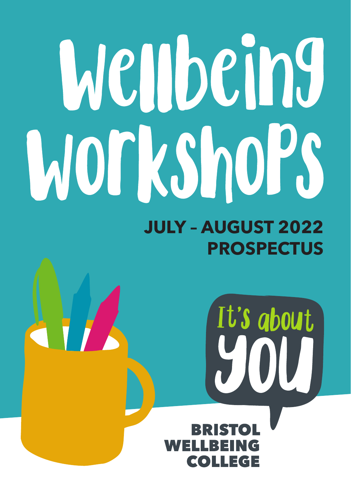# Wellbeing WOTKShOPS

# **JULY – AUGUST 2022 PROSPECTUS**

It's about

# ELLRE **COLLEGE**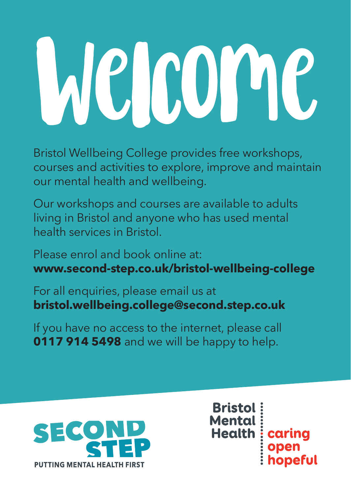# Welcome

Bristol Wellbeing College provides free workshops, courses and activities to explore, improve and maintain our mental health and wellbeing.

Our workshops and courses are available to adults living in Bristol and anyone who has used mental health services in Bristol.

Please enrol and book online at: **www.second-step.co.uk/bristol-wellbeing-college** 

For all enquiries, please email us at **bristol.wellbeing.college@second.step.co.uk**

If you have no access to the internet, please call **0117 914 5498** and we will be happy to help.



**Bristol: Mental** Health<br>Health<br>popen<br>hopeful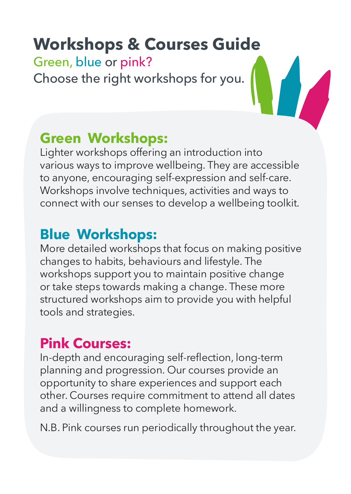# **Workshops & Courses Guide**

Green, blue or pink?

Choose the right workshops for you.

# **Green Workshops:**

Lighter workshops offering an introduction into various ways to improve wellbeing. They are accessible to anyone, encouraging self-expression and self-care. Workshops involve techniques, activities and ways to connect with our senses to develop a wellbeing toolkit.

# **Blue Workshops:**

More detailed workshops that focus on making positive changes to habits, behaviours and lifestyle. The workshops support you to maintain positive change or take steps towards making a change. These more structured workshops aim to provide you with helpful tools and strategies.

# **Pink Courses:**

In-depth and encouraging self-reflection, long-term planning and progression. Our courses provide an opportunity to share experiences and support each other. Courses require commitment to attend all dates and a willingness to complete homework.

N.B. Pink courses run periodically throughout the year.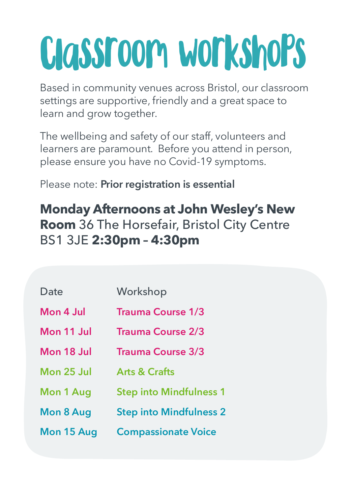# Classroom workshops

Based in community venues across Bristol, our classroom settings are supportive, friendly and a great space to learn and grow together.

The wellbeing and safety of our staff, volunteers and learners are paramount. Before you attend in person, please ensure you have no Covid-19 symptoms.

Please note: **Prior registration is essential**

# **Monday Afternoons at John Wesley's New Room** 36 The Horsefair, Bristol City Centre BS1 3JE **2:30pm – 4:30pm**

| Date       | Workshop                       |
|------------|--------------------------------|
| Mon 4 Jul  | Trauma Course 1/3              |
| Mon 11 Jul | <b>Trauma Course 2/3</b>       |
| Mon 18 Jul | <b>Trauma Course 3/3</b>       |
| Mon 25 Jul | Arts & Crafts                  |
| Mon 1 Aug  | <b>Step into Mindfulness 1</b> |
| Mon 8 Aug  | <b>Step into Mindfulness 2</b> |
| Mon 15 Aug | <b>Compassionate Voice</b>     |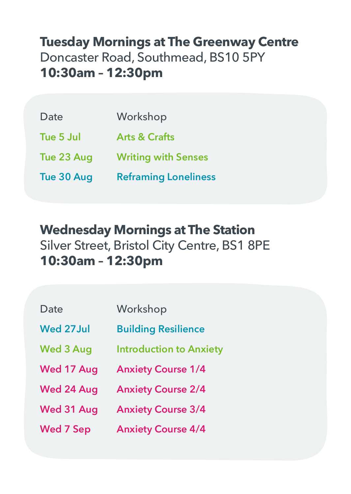# **Tuesday Mornings at The Greenway Centre**<br>Doncaster Road, Southmead, BS10 5PY<br>**10:30am - 12:30pm** Doncaster Road, Southmead, BS10 5PY **10:30am – 12:30pm**

| Date       | Workshop                    |
|------------|-----------------------------|
| Tue 5 Jul  | <b>Arts &amp; Crafts</b>    |
| Tue 23 Aug | <b>Writing with Senses</b>  |
| Tue 30 Aug | <b>Reframing Loneliness</b> |

# **Wednesday Mornings at The Station** Silver Street, Bristol City Centre, BS1 8PE **10:30am – 12:30pm**

| Date             | Workshop                       |
|------------------|--------------------------------|
| Wed 27Jul        | <b>Building Resilience</b>     |
| Wed 3 Aug        | <b>Introduction to Anxiety</b> |
| Wed 17 Aug       | <b>Anxiety Course 1/4</b>      |
| Wed 24 Aug       | <b>Anxiety Course 2/4</b>      |
| Wed 31 Aug       | <b>Anxiety Course 3/4</b>      |
| <b>Wed 7 Sep</b> | <b>Anxiety Course 4/4</b>      |
|                  |                                |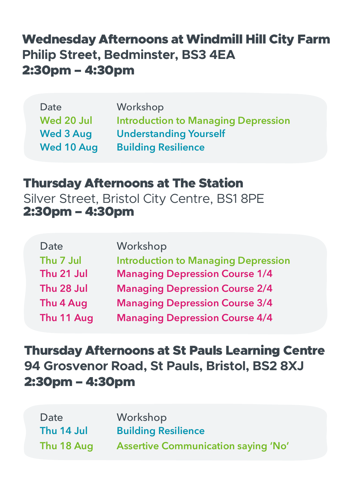# Wednesday Afternoons at Windmill Hill City Farm **Philip Street, Bedminster, BS3 4EA** 2:30pm – 4:30pm

| Date             | Workshop                                   |
|------------------|--------------------------------------------|
| Wed 20 Jul       | <b>Introduction to Managing Depression</b> |
| <b>Wed 3 Aug</b> | <b>Understanding Yourself</b>              |
| Wed 10 Aug       | <b>Building Resilience</b>                 |

#### Thursday Afternoons at The Station

Silver Street, Bristol City Centre, BS1 8PE 2:30pm – 4:30pm

| Date       | Workshop                                   |
|------------|--------------------------------------------|
| Thu 7 Jul  | <b>Introduction to Managing Depression</b> |
| Thu 21 Jul | <b>Managing Depression Course 1/4</b>      |
| Thu 28 Jul | <b>Managing Depression Course 2/4</b>      |
| Thu 4 Aug  | <b>Managing Depression Course 3/4</b>      |
| Thu 11 Aug | <b>Managing Depression Course 4/4</b>      |

# Thursday Afternoons at St Pauls Learning Centre **94 Grosvenor Road, St Pauls, Bristol, BS2 8XJ** 2:30pm – 4:30pm

| Date       | Workshop                                   |
|------------|--------------------------------------------|
| Thu 14 Jul | <b>Building Resilience</b>                 |
| Thu 18 Aug | <b>Assertive Communication saying 'No'</b> |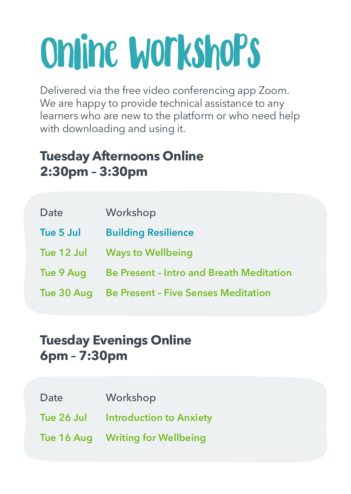# Online Workshops

Delivered via the free video conferencing app Zoom. We are happy to provide technical assistance to any learners who are new to the platform or who need help with downloading and using it.

# **Tuesday Afternoons Online 2:30pm – 3:30pm**

| Date       | Workshop                                        |
|------------|-------------------------------------------------|
| Tue 5 Jul  | <b>Building Resilience</b>                      |
| Tue 12 Jul | <b>Ways to Wellbeing</b>                        |
| Tue 9 Aug  | <b>Be Present - Intro and Breath Meditation</b> |
| Tue 30 Aug | <b>Be Present - Five Senses Meditation</b>      |

# **Tuesday Evenings Online 6pm – 7:30pm**

| Date       | Workshop                       |
|------------|--------------------------------|
| Tue 26 Jul | <b>Introduction to Anxiety</b> |
| Tue 16 Aug | <b>Writing for Wellbeing</b>   |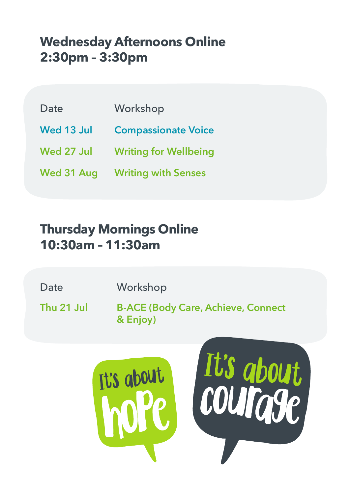# Wednesday Afternoons Online<br>2:30pm - 3:30pm **Wednesday Afternoons Online 2:30pm – 3:30pm**

| Date       | Workshop                     |
|------------|------------------------------|
| Wed 13 Jul | <b>Compassionate Voice</b>   |
| Wed 27 Jul | <b>Writing for Wellbeing</b> |
| Wed 31 Aug | <b>Writing with Senses</b>   |

# **Thursday Mornings Online 10:30am – 11:30am**

Date Workshop **Thu 21 Jul B-ACE (Body Care, Achieve, Connect & Enjoy)**

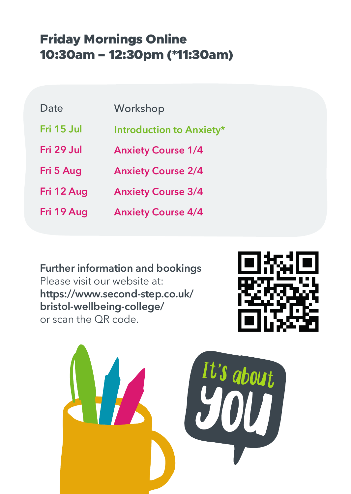# Friday Mornings Online 10:30am – 12:30pm (\*11:30am)

| Date       | Workshop                  |
|------------|---------------------------|
| Fri 15 Jul | Introduction to Anxiety*  |
| Fri 29 Jul | <b>Anxiety Course 1/4</b> |
| Fri 5 Aug  | <b>Anxiety Course 2/4</b> |
| Fri 12 Aug | <b>Anxiety Course 3/4</b> |
| Fri 19 Aug | <b>Anxiety Course 4/4</b> |

**Further information and bookings** Please visit our website at: **https://www.second-step.co.uk/ bristol-wellbeing-college/** or scan the QR code.